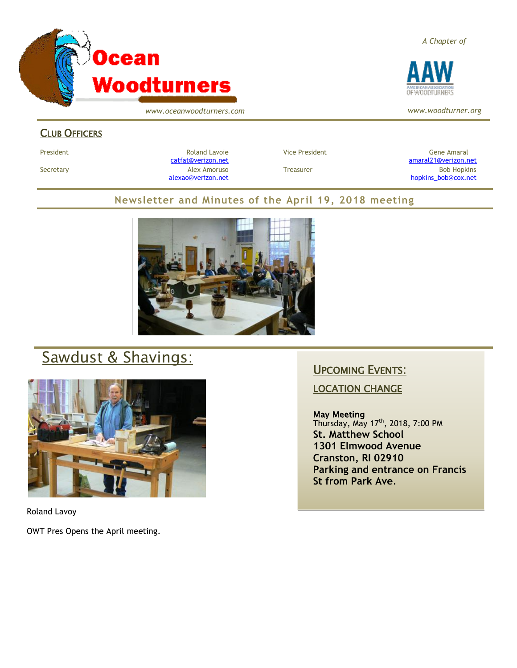

*www.oceanwoodturners.com*

## CLUB OFFICERS

President Chronical Communication Chronical Roland Lavoie Chronic Vice President Chronic Chronic Gene Amaral [catfat@verizon.net](file:///C:/Users/OTEC/Desktop/OW/catfat@verizon.net) [amaral21@verizon.net](mailto:amaral21@verizon.net) Secretary Alex Amoruso Treasurer Bob Hopkins [alexao@verizon.net](mailto:alexao@verizon.net) [hopkins\\_bob@cox.net](mailto:hopkins_bob@cox.net)

### **Newsletter and Minutes of the April 19, 2018 meeting**



# Sawdust & Shavings:



Roland Lavoy

OWT Pres Opens the April meeting.

## UPCOMING EVENTS:

### LOCATION CHANGE

#### May Meeting

Thursday, May 17<sup>th</sup>, 2018, 7:00 PM **St. Matthew School 1301 Elmwood Avenue Cranston, RI 02910 Parking and entrance on Francis St from Park Ave**.

*A Chapter of*



*www.woodturner.org*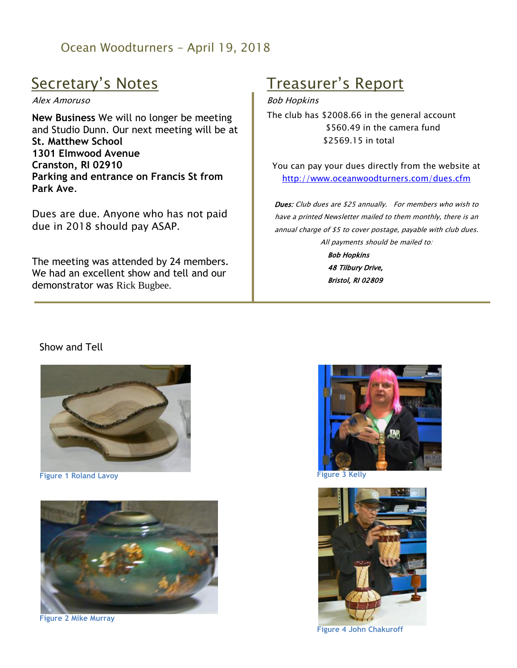# Ocean Woodturners – April 19, 2018

# Secretary's Notes

#### Alex Amoruso

**New Business** We will no longer be meeting and Studio Dunn. Our next meeting will be at **St. Matthew School 1301 Elmwood Avenue Cranston, RI 02910 Parking and entrance on Francis St from Park Ave**.

Dues are due. Anyone who has not paid due in 2018 should pay ASAP.

The meeting was attended by 24 members. We had an excellent show and tell and our demonstrator was Rick Bugbee.

# Treasurer's Report

#### Bob Hopkins

The club has \$2008.66 in the general account \$560.49 in the camera fund \$2569.15 in total

You can pay your dues directly from the website at <http://www.oceanwoodturners.com/dues.cfm>

Dues: Club dues are \$25 annually. For members who wish to have a printed Newsletter mailed to them monthly, there is an annual charge of \$5 to cover postage, payable with club dues. All payments should be mailed to: Bob Hopkins

> 48 Tilbury Drive, Bristol, RI 02809

### Show and Tell



**Figure 1 Roland Lavoy**



**Figure 2 Mike Murray**



**Figure 3 Kelly**



**Figure 4 John Chakuroff**